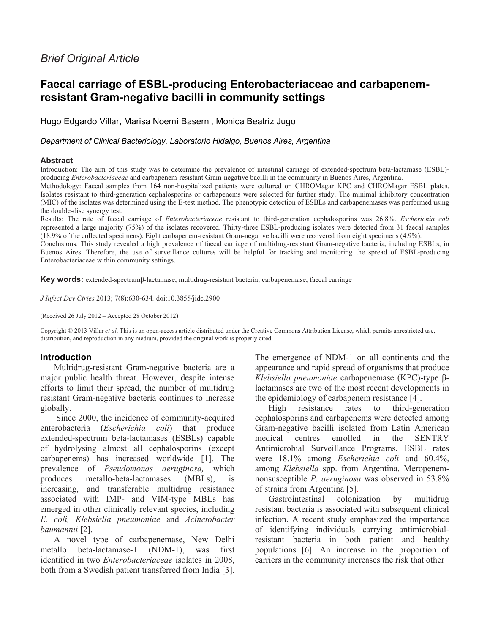# *Brief Original Article*

# **Faecal carriage of ESBL-producing Enterobacteriaceae and carbapenemresistant Gram-negative bacilli in community settings**

Hugo Edgardo Villar, Marisa Noemí Baserni, Monica Beatriz Jugo

### *Department of Clinical Bacteriology, Laboratorio Hidalgo, Buenos Aires, Argentina*

#### **Abstract**

Introduction: The aim of this study was to determine the prevalence of intestinal carriage of extended-spectrum beta-lactamase (ESBL) producing *Enterobacteriaceae* and carbapenem-resistant Gram-negative bacilli in the community in Buenos Aires, Argentina.

Methodology: Faecal samples from 164 non-hospitalized patients were cultured on CHROMagar KPC and CHROMagar ESBL plates. Isolates resistant to third-generation cephalosporins or carbapenems were selected for further study. The minimal inhibitory concentration (MIC) of the isolates was determined using the E-test method. The phenotypic detection of ESBLs and carbapenemases was performed using the double-disc synergy test.

Results: The rate of faecal carriage of *Enterobacteriaceae* resistant to third-generation cephalosporins was 26.8%. *Escherichia coli* represented a large majority (75%) of the isolates recovered. Thirty-three ESBL-producing isolates were detected from 31 faecal samples (18.9% of the collected specimens). Eight carbapenem-resistant Gram-negative bacilli were recovered from eight specimens (4.9%).

Conclusions: This study revealed a high prevalence of faecal carriage of multidrug-resistant Gram-negative bacteria, including ESBLs, in Buenos Aires. Therefore, the use of surveillance cultures will be helpful for tracking and monitoring the spread of ESBL-producing Enterobacteriaceae within community settings.

**Key words:** extended-spectrumβ-lactamase; multidrug-resistant bacteria; carbapenemase; faecal carriage

*J Infect Dev Ctries* 2013; 7(8):630-634*.* doi:10.3855/jidc.2900

(Received 26 July 2012 – Accepted 28 October 2012)

Copyright © 2013 Villar *et al*. This is an open-access article distributed under the Creative Commons Attribution License, which permits unrestricted use, distribution, and reproduction in any medium, provided the original work is properly cited.

# **Introduction**

Multidrug-resistant Gram-negative bacteria are a major public health threat. However, despite intense efforts to limit their spread, the number of multidrug resistant Gram-negative bacteria continues to increase globally.

Since 2000, the incidence of community-acquired enterobacteria (*Escherichia coli*) that produce extended-spectrum beta-lactamases (ESBLs) capable of hydrolysing almost all cephalosporins (except carbapenems) has increased worldwide [1]. The prevalence of *Pseudomonas aeruginosa,* which produces metallo-beta-lactamases (MBLs), is increasing, and transferable multidrug resistance associated with IMP- and VIM-type MBLs has emerged in other clinically relevant species, including *E. coli, Klebsiella pneumoniae* and *Acinetobacter baumannii* [2].

A novel type of carbapenemase, New Delhi metallo beta-lactamase-1 (NDM-1), was first identified in two *Enterobacteriaceae* isolates in 2008, both from a Swedish patient transferred from India [3].

The emergence of NDM-1 on all continents and the appearance and rapid spread of organisms that produce *Klebsiella pneumoniae* carbapenemase (KPC)-type βlactamases are two of the most recent developments in the epidemiology of carbapenem resistance [4].

High resistance rates to third-generation cephalosporins and carbapenems were detected among Gram-negative bacilli isolated from Latin American medical centres enrolled in the SENTRY Antimicrobial Surveillance Programs. ESBL rates were 18.1% among *Escherichia coli* and 60.4%, among *Klebsiella* spp. from Argentina. Meropenemnonsusceptible *P. aeruginosa* was observed in 53.8% of strains from Argentina [5].

Gastrointestinal colonization by multidrug resistant bacteria is associated with subsequent clinical infection. A recent study emphasized the importance of identifying individuals carrying antimicrobialresistant bacteria in both patient and healthy populations [6]. An increase in the proportion of carriers in the community increases the risk that other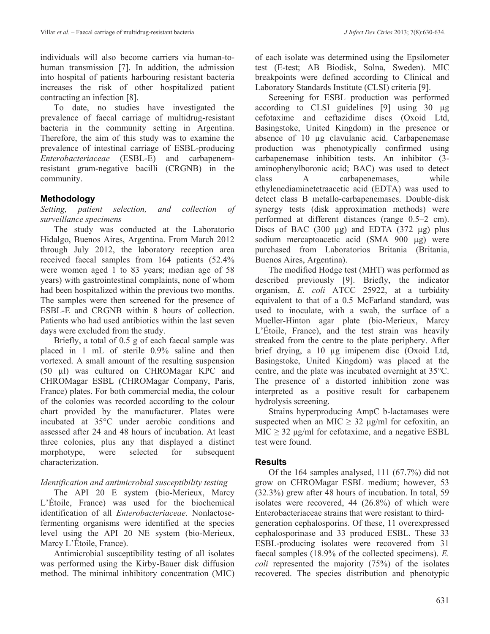individuals will also become carriers via human-tohuman transmission [7]. In addition, the admission into hospital of patients harbouring resistant bacteria increases the risk of other hospitalized patient contracting an infection [8].

To date, no studies have investigated the prevalence of faecal carriage of multidrug-resistant bacteria in the community setting in Argentina. Therefore, the aim of this study was to examine the prevalence of intestinal carriage of ESBL-producing *Enterobacteriaceae* (ESBL-E) and carbapenemresistant gram-negative bacilli (CRGNB) in the community.

# **Methodology**

*Setting, patient selection, and collection of surveillance specimens*

The study was conducted at the Laboratorio Hidalgo, Buenos Aires, Argentina. From March 2012 through July 2012, the laboratory reception area received faecal samples from 164 patients (52.4% were women aged 1 to 83 years; median age of 58 years) with gastrointestinal complaints, none of whom had been hospitalized within the previous two months. The samples were then screened for the presence of ESBL-E and CRGNB within 8 hours of collection. Patients who had used antibiotics within the last seven days were excluded from the study.

Briefly, a total of 0.5 g of each faecal sample was placed in 1 mL of sterile 0.9% saline and then vortexed. A small amount of the resulting suspension (50 µl) was cultured on CHROMagar KPC and CHROMagar ESBL (CHROMagar Company, Paris, France) plates. For both commercial media, the colour of the colonies was recorded according to the colour chart provided by the manufacturer. Plates were incubated at 35°C under aerobic conditions and assessed after 24 and 48 hours of incubation. At least three colonies, plus any that displayed a distinct morphotype, were selected for subsequent characterization.

## *Identification and antimicrobial susceptibility testing*

The API 20 E system (bio-Merieux, Marcy L'Étoile, France) was used for the biochemical identification of all *Enterobacteriaceae*. Nonlactosefermenting organisms were identified at the species level using the API 20 NE system (bio-Merieux, Marcy L'Étoile, France).

Antimicrobial susceptibility testing of all isolates was performed using the Kirby-Bauer disk diffusion method. The minimal inhibitory concentration (MIC) of each isolate was determined using the Epsilometer test (E-test; AB Biodisk, Solna, Sweden). MIC breakpoints were defined according to Clinical and Laboratory Standards Institute (CLSI) criteria [9].

Screening for ESBL production was performed according to CLSI guidelines [9] using 30 µg cefotaxime and ceftazidime discs (Oxoid Ltd, Basingstoke, United Kingdom) in the presence or absence of 10 µg clavulanic acid. Carbapenemase production was phenotypically confirmed using carbapenemase inhibition tests. An inhibitor (3 aminophenylboronic acid; BAC) was used to detect class A carbapenemases, while ethylenediaminetetraacetic acid (EDTA) was used to detect class B metallo-carbapenemases. Double-disk synergy tests (disk approximation methods) were performed at different distances (range 0.5–2 cm). Discs of BAC (300  $\mu$ g) and EDTA (372  $\mu$ g) plus sodium mercaptoacetic acid (SMA 900 µg) were purchased from Laboratorios Britania (Britania, Buenos Aires, Argentina).

The modified Hodge test (MHT) was performed as described previously [9]. Briefly, the indicator organism, *E*. *coli* ATCC 25922, at a turbidity equivalent to that of a 0.5 McFarland standard, was used to inoculate, with a swab, the surface of a Mueller-Hinton agar plate (bio-Merieux, Marcy L'Étoile, France), and the test strain was heavily streaked from the centre to the plate periphery. After brief drying, a 10 µg imipenem disc (Oxoid Ltd, Basingstoke, United Kingdom) was placed at the centre, and the plate was incubated overnight at 35°C. The presence of a distorted inhibition zone was interpreted as a positive result for carbapenem hydrolysis screening.

Strains hyperproducing AmpC b-lactamases were suspected when an MIC  $\geq$  32 μg/ml for cefoxitin, an  $MIC \geq 32$  μg/ml for cefotaxime, and a negative ESBL test were found.

## **Results**

Of the 164 samples analysed, 111 (67.7%) did not grow on CHROMagar ESBL medium; however, 53 (32.3%) grew after 48 hours of incubation. In total, 59 isolates were recovered, 44 (26.8%) of which were Enterobacteriaceae strains that were resistant to thirdgeneration cephalosporins. Of these, 11 overexpressed cephalosporinase and 33 produced ESBL. These 33 ESBL-producing isolates were recovered from 31 faecal samples (18.9% of the collected specimens). *E. coli* represented the majority (75%) of the isolates recovered. The species distribution and phenotypic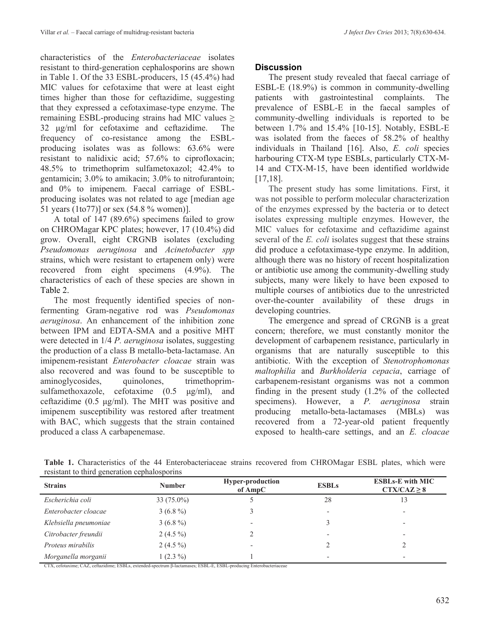characteristics of the *Enterobacteriaceae* isolates resistant to third-generation cephalosporins are shown in Table 1. Of the 33 ESBL-producers, 15 (45.4%) had MIC values for cefotaxime that were at least eight times higher than those for ceftazidime, suggesting that they expressed a cefotaximase-type enzyme. The remaining ESBL-producing strains had MIC values ≥ 32 μg/ml for cefotaxime and ceftazidime. The frequency of co-resistance among the ESBLproducing isolates was as follows: 63.6% were resistant to nalidixic acid; 57.6% to ciprofloxacin; 48.5% to trimethoprim sulfametoxazol; 42.4% to gentamicin; 3.0% to amikacin; 3.0% to nitrofurantoin; and 0% to imipenem. Faecal carriage of ESBLproducing isolates was not related to age [median age 51 years (1to77)] or sex (54.8 % women)].

A total of 147 (89.6%) specimens failed to grow on CHROMagar KPC plates; however, 17 (10.4%) did grow. Overall, eight CRGNB isolates (excluding *Pseudomonas aeruginosa* and *Acinetobacter spp* strains, which were resistant to ertapenem only) were recovered from eight specimens (4.9%). The characteristics of each of these species are shown in Table 2.

The most frequently identified species of nonfermenting Gram-negative rod was *Pseudomonas aeruginosa*. An enhancement of the inhibition zone between IPM and EDTA-SMA and a positive MHT were detected in 1/4 *P. aeruginosa* isolates, suggesting the production of a class B metallo-beta-lactamase. An imipenem-resistant *Enterobacter cloacae* strain was also recovered and was found to be susceptible to aminoglycosides, quinolones, trimethoprimsulfamethoxazole, cefotaxime (0.5 μg/ml), and ceftazidime (0.5 μg/ml). The MHT was positive and imipenem susceptibility was restored after treatment with BAC, which suggests that the strain contained produced a class A carbapenemase.

# **Discussion**

The present study revealed that faecal carriage of ESBL-E (18.9%) is common in community-dwelling patients with gastrointestinal complaints. The prevalence of ESBL-E in the faecal samples of community-dwelling individuals is reported to be between 1.7% and 15.4% [10-15]. Notably, ESBL-E was isolated from the faeces of 58.2% of healthy individuals in Thailand [16]. Also, *E. coli* species harbouring CTX-M type ESBLs, particularly CTX-M-14 and CTX-M-15, have been identified worldwide [17,18].

The present study has some limitations. First, it was not possible to perform molecular characterization of the enzymes expressed by the bacteria or to detect isolates expressing multiple enzymes. However, the MIC values for cefotaxime and ceftazidime against several of the *E. coli* isolates suggest that these strains did produce a cefotaximase-type enzyme. In addition, although there was no history of recent hospitalization or antibiotic use among the community-dwelling study subjects, many were likely to have been exposed to multiple courses of antibiotics due to the unrestricted over-the-counter availability of these drugs in developing countries.

The emergence and spread of CRGNB is a great concern; therefore, we must constantly monitor the development of carbapenem resistance, particularly in organisms that are naturally susceptible to this antibiotic. With the exception of *Stenotrophomonas maltophilia* and *Burkholderia cepacia*, carriage of carbapenem-resistant organisms was not a common finding in the present study (1.2% of the collected specimens). However, a *P. aeruginosa* strain producing metallo-beta-lactamases (MBLs) was recovered from a 72-year-old patient frequently exposed to health-care settings, and an *E. cloacae*

| <b>Strains</b>        | <b>Number</b> | <b>Hyper-production</b><br>of AmpC | <b>ESBLs</b> |    |  |  |  |
|-----------------------|---------------|------------------------------------|--------------|----|--|--|--|
| Escherichia coli      | $33(75.0\%)$  |                                    | 28           | 13 |  |  |  |
| Enterobacter cloacae  | $3(6.8\%)$    |                                    |              |    |  |  |  |
| Klebsiella pneumoniae | $3(6.8\%)$    | $\overline{\phantom{0}}$           |              |    |  |  |  |
| Citrobacter freundii  | 2 $(4.5\%)$   |                                    |              |    |  |  |  |
| Proteus mirabilis     | 2 $(4.5\%)$   |                                    |              |    |  |  |  |
| Morganella morganii   | $1(2.3\%)$    |                                    |              |    |  |  |  |

**Table 1.** Characteristics of the 44 Enterobacteriaceae strains recovered from CHROMagar ESBL plates, which were resistant to third generation cephalosporins

CTX, cefotaxime; CAZ, ceftazidime; ESBLs, extended-spectrum β-lactamases; ESBL-E, ESBL-producing Enterobacteriaceae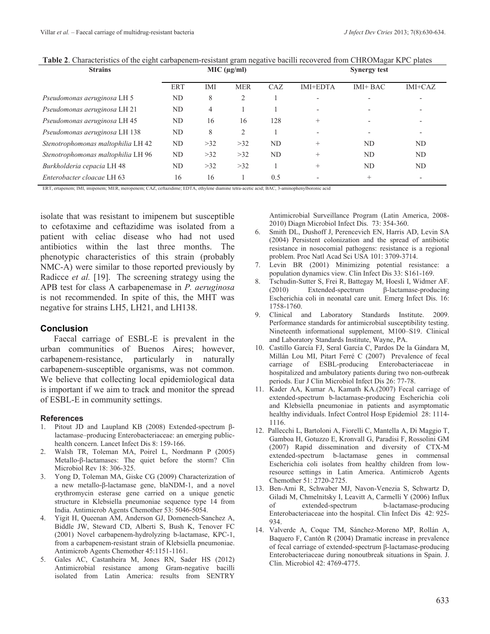|  |  |  | Table 2. Characteristics of the eight carbapenem-resistant gram negative bacilli recovered from CHROMagar KPC plates |
|--|--|--|----------------------------------------------------------------------------------------------------------------------|
|  |  |  |                                                                                                                      |

| <b>Strains</b>                     | MIC (µg/ml) |     |            | <b>Synergy test</b> |                          |                          |                          |
|------------------------------------|-------------|-----|------------|---------------------|--------------------------|--------------------------|--------------------------|
|                                    | <b>ERT</b>  | IMI | <b>MER</b> | CAZ                 | <b>IMI+EDTA</b>          | $IMI+BAC$                | $IMI+CAZ$                |
| Pseudomonas aeruginosa LH 5        | ND          | 8   | 2          |                     |                          |                          |                          |
| Pseudomonas aeruginosa LH 21       | ND          | 4   |            |                     | $\overline{\phantom{0}}$ | $\overline{\phantom{0}}$ |                          |
| Pseudomonas aeruginosa LH 45       | ND          | 16  | 16         | 128                 | $^{+}$                   | $\overline{\phantom{0}}$ |                          |
| Pseudomonas aeruginosa LH 138      | ND          | 8   | 2          |                     |                          | $\overline{\phantom{0}}$ |                          |
| Stenotrophomonas maltophilia LH 42 | ND          | >32 | >32        | ND                  | $^{+}$                   | ND                       | ND.                      |
| Stenotrophomonas maltophilia LH 96 | ND          | >32 | >32        | ND                  | $^{+}$                   | ND                       | ND                       |
| Burkholderia cepacia LH 48         | ND          | >32 | >32        |                     | $^{+}$                   | ND                       | ND                       |
| Enterobacter cloacae LH 63         | 16          | 16  |            | 0.5                 |                          | $^{+}$                   | $\overline{\phantom{0}}$ |

ERT, ertapenem; IMI, imipenem; MER, meropenem; CAZ, ceftazidime; EDTA, ethylene diamine tetra-acetic acid; BAC, 3-aminophenylboronic acid

isolate that was resistant to imipenem but susceptible to cefotaxime and ceftazidime was isolated from a patient with celiac disease who had not used antibiotics within the last three months. The phenotypic characteristics of this strain (probably NMC-A) were similar to those reported previously by Radicce *et al.* [19]. The screening strategy using the APB test for class A carbapenemase in *P. aeruginosa* is not recommended. In spite of this, the MHT was negative for strains LH5, LH21, and LH138.

#### **Conclusion**

Faecal carriage of ESBL-E is prevalent in the urban communities of Buenos Aires; however, carbapenem-resistance, particularly in naturally carbapenem-susceptible organisms, was not common. We believe that collecting local epidemiological data is important if we aim to track and monitor the spread of ESBL-E in community settings.

#### **References**

- Pitout JD and Laupland KB (2008) Extended-spectrum βlactamase–producing Enterobacteriaceae: an emerging publichealth concern. Lancet Infect Dis 8: 159-166.
- 2. Walsh TR, Toleman MA, Poirel L, Nordmann P (2005) Metallo-β-lactamases: The quiet before the storm? Clin Microbiol Rev 18: 306-325.
- 3. Yong D, Toleman MA, Giske CG (2009) Characterization of a new metallo-β-lactamase gene, blaNDM-1, and a novel erythromycin esterase gene carried on a unique genetic structure in Klebsiella pneumoniae sequence type 14 from India. Antimicrob Agents Chemother 53: 5046-5054.
- 4. Yigit H, Queenan AM, Anderson GJ, Domenech-Sanchez A, Biddle JW, Steward CD, Alberti S, Bush K, Tenover FC (2001) Novel carbapenem-hydrolyzing b-lactamase, KPC-1, from a carbapenem-resistant strain of Klebsiella pneumoniae. Antimicrob Agents Chemother 45:1151-1161.
- 5. Gales AC, Castanheira M, Jones RN, Sader HS (2012) Antimicrobial resistance among Gram-negative bacilli isolated from Latin America: results from SENTRY

Antimicrobial Surveillance Program (Latin America, 2008- 2010) Diagn Microbiol Infect Dis. 73: 354-360.

- 6. Smith DL, Dushoff J, Perencevich EN, Harris AD, Levin SA (2004) Persistent colonization and the spread of antibiotic resistance in nosocomial pathogens: resistance is a regional problem. Proc Natl Acad Sci USA 101: 3709-3714.
- 7. Levin BR (2001) Minimizing potential resistance: a population dynamics view. Clin Infect Dis 33: S161-169.
- 8. Tschudin-Sutter S, Frei R, Battegay M, Hoesli I, Widmer AF. (2010) Extended-spectrum β-lactamase-producing Escherichia coli in neonatal care unit. Emerg Infect Dis. 16: 1758-1760.
- 9. Clinical and Laboratory Standards Institute. 2009. Performance standards for antimicrobial susceptibility testing. Nineteenth informational supplement, M100–S19. Clinical and Laboratory Standards Institute, Wayne, PA.
- 10. Castillo García FJ, Seral García C, Pardos De la Gándara M, Millán Lou MI, Pitart Ferré C (2007) Prevalence of fecal carriage of ESBL-producing Enterobacteriaceae in hospitalized and ambulatory patients during two non-outbreak periods. Eur J Clin Microbiol Infect Dis 26: 77-78.
- 11. Kader AA, Kumar A, Kamath KA.(2007) Fecal carriage of extended-spectrum b-lactamase-producing Escherichia coli and Klebsiella pneumoniae in patients and asymptomatic healthy individuals. Infect Control Hosp Epidemiol 28: 1114- 1116.
- 12. Pallecchi L, Bartoloni A, Fiorelli C, Mantella A, Di Maggio T, Gamboa H, Gotuzzo E, Kronvall G, Paradisi F, Rossolini GM (2007) Rapid dissemination and diversity of CTX-M extended-spectrum b-lactamase genes in commensal Escherichia coli isolates from healthy children from lowresource settings in Latin America. Antimicrob Agents Chemother 51: 2720-2725.
- 13. Ben-Ami R, Schwaber MJ, Navon-Venezia S, Schwartz D, Giladi M, Chmelnitsky I, Leavitt A, Carmelli Y (2006) Influx of extended-spectrum b-lactamase-producing Enterobacteriaceae into the hospital. Clin Infect Dis 42: 925- 934.
- 14. Valverde A, Coque TM, Sánchez-Moreno MP, Rollán A, Baquero F, Cantón R (2004) Dramatic increase in prevalence of fecal carriage of extended-spectrum β-lactamase-producing Enterobacteriaceae during nonoutbreak situations in Spain. J. Clin. Microbiol 42: 4769-4775.